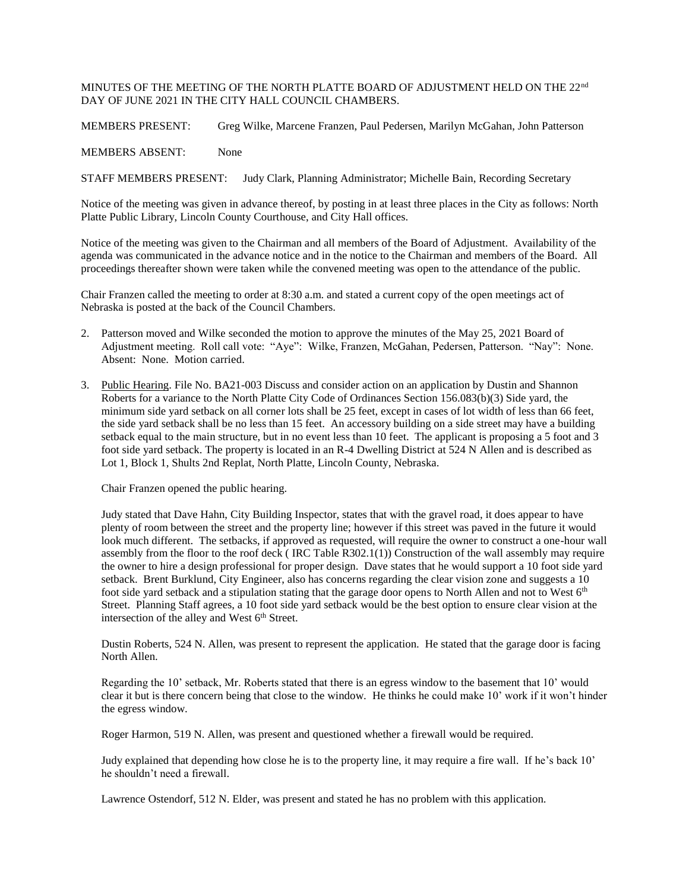## MINUTES OF THE MEETING OF THE NORTH PLATTE BOARD OF ADJUSTMENT HELD ON THE 22nd DAY OF JUNE 2021 IN THE CITY HALL COUNCIL CHAMBERS.

MEMBERS PRESENT: Greg Wilke, Marcene Franzen, Paul Pedersen, Marilyn McGahan, John Patterson

MEMBERS ABSENT: None

STAFF MEMBERS PRESENT: Judy Clark, Planning Administrator; Michelle Bain, Recording Secretary

Notice of the meeting was given in advance thereof, by posting in at least three places in the City as follows: North Platte Public Library, Lincoln County Courthouse, and City Hall offices.

Notice of the meeting was given to the Chairman and all members of the Board of Adjustment. Availability of the agenda was communicated in the advance notice and in the notice to the Chairman and members of the Board. All proceedings thereafter shown were taken while the convened meeting was open to the attendance of the public.

Chair Franzen called the meeting to order at 8:30 a.m. and stated a current copy of the open meetings act of Nebraska is posted at the back of the Council Chambers.

- 2. Patterson moved and Wilke seconded the motion to approve the minutes of the May 25, 2021 Board of Adjustment meeting. Roll call vote: "Aye": Wilke, Franzen, McGahan, Pedersen, Patterson. "Nay": None. Absent: None. Motion carried.
- 3. Public Hearing. File No. BA21-003 Discuss and consider action on an application by Dustin and Shannon Roberts for a variance to the North Platte City Code of Ordinances Section 156.083(b)(3) Side yard, the minimum side yard setback on all corner lots shall be 25 feet, except in cases of lot width of less than 66 feet, the side yard setback shall be no less than 15 feet. An accessory building on a side street may have a building setback equal to the main structure, but in no event less than 10 feet. The applicant is proposing a 5 foot and 3 foot side yard setback. The property is located in an R-4 Dwelling District at 524 N Allen and is described as Lot 1, Block 1, Shults 2nd Replat, North Platte, Lincoln County, Nebraska.

Chair Franzen opened the public hearing.

Judy stated that Dave Hahn, City Building Inspector, states that with the gravel road, it does appear to have plenty of room between the street and the property line; however if this street was paved in the future it would look much different. The setbacks, if approved as requested, will require the owner to construct a one-hour wall assembly from the floor to the roof deck ( IRC Table R302.1(1)) Construction of the wall assembly may require the owner to hire a design professional for proper design. Dave states that he would support a 10 foot side yard setback. Brent Burklund, City Engineer, also has concerns regarding the clear vision zone and suggests a 10 foot side yard setback and a stipulation stating that the garage door opens to North Allen and not to West 6<sup>th</sup> Street. Planning Staff agrees, a 10 foot side yard setback would be the best option to ensure clear vision at the intersection of the alley and West 6<sup>th</sup> Street.

Dustin Roberts, 524 N. Allen, was present to represent the application. He stated that the garage door is facing North Allen.

Regarding the 10' setback, Mr. Roberts stated that there is an egress window to the basement that 10' would clear it but is there concern being that close to the window. He thinks he could make 10' work if it won't hinder the egress window.

Roger Harmon, 519 N. Allen, was present and questioned whether a firewall would be required.

Judy explained that depending how close he is to the property line, it may require a fire wall. If he's back 10' he shouldn't need a firewall.

Lawrence Ostendorf, 512 N. Elder, was present and stated he has no problem with this application.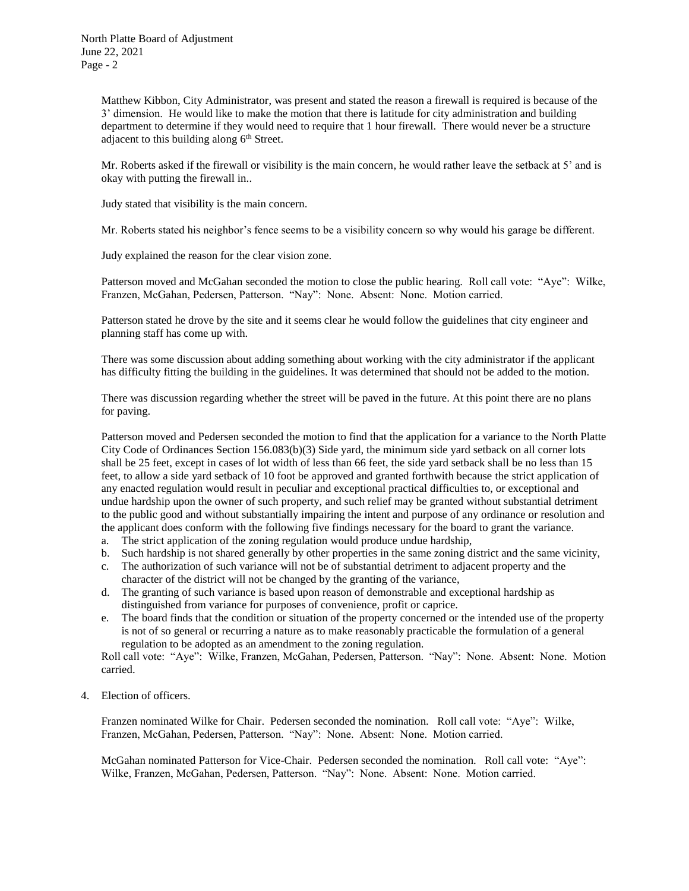Matthew Kibbon, City Administrator, was present and stated the reason a firewall is required is because of the 3' dimension. He would like to make the motion that there is latitude for city administration and building department to determine if they would need to require that 1 hour firewall. There would never be a structure adjacent to this building along  $6<sup>th</sup>$  Street.

Mr. Roberts asked if the firewall or visibility is the main concern, he would rather leave the setback at 5' and is okay with putting the firewall in..

Judy stated that visibility is the main concern.

Mr. Roberts stated his neighbor's fence seems to be a visibility concern so why would his garage be different.

Judy explained the reason for the clear vision zone.

Patterson moved and McGahan seconded the motion to close the public hearing. Roll call vote: "Aye": Wilke, Franzen, McGahan, Pedersen, Patterson. "Nay": None. Absent: None. Motion carried.

Patterson stated he drove by the site and it seems clear he would follow the guidelines that city engineer and planning staff has come up with.

There was some discussion about adding something about working with the city administrator if the applicant has difficulty fitting the building in the guidelines. It was determined that should not be added to the motion.

There was discussion regarding whether the street will be paved in the future. At this point there are no plans for paving.

Patterson moved and Pedersen seconded the motion to find that the application for a variance to the North Platte City Code of Ordinances Section 156.083(b)(3) Side yard, the minimum side yard setback on all corner lots shall be 25 feet, except in cases of lot width of less than 66 feet, the side yard setback shall be no less than 15 feet, to allow a side yard setback of 10 foot be approved and granted forthwith because the strict application of any enacted regulation would result in peculiar and exceptional practical difficulties to, or exceptional and undue hardship upon the owner of such property, and such relief may be granted without substantial detriment to the public good and without substantially impairing the intent and purpose of any ordinance or resolution and the applicant does conform with the following five findings necessary for the board to grant the variance.

- a. The strict application of the zoning regulation would produce undue hardship,
- b. Such hardship is not shared generally by other properties in the same zoning district and the same vicinity,
- c. The authorization of such variance will not be of substantial detriment to adjacent property and the character of the district will not be changed by the granting of the variance,
- d. The granting of such variance is based upon reason of demonstrable and exceptional hardship as distinguished from variance for purposes of convenience, profit or caprice.
- e. The board finds that the condition or situation of the property concerned or the intended use of the property is not of so general or recurring a nature as to make reasonably practicable the formulation of a general regulation to be adopted as an amendment to the zoning regulation.

Roll call vote: "Aye": Wilke, Franzen, McGahan, Pedersen, Patterson. "Nay": None. Absent: None. Motion carried.

4. Election of officers.

Franzen nominated Wilke for Chair. Pedersen seconded the nomination. Roll call vote: "Aye": Wilke, Franzen, McGahan, Pedersen, Patterson. "Nay": None. Absent: None. Motion carried.

McGahan nominated Patterson for Vice-Chair. Pedersen seconded the nomination. Roll call vote: "Aye": Wilke, Franzen, McGahan, Pedersen, Patterson. "Nay": None. Absent: None. Motion carried.